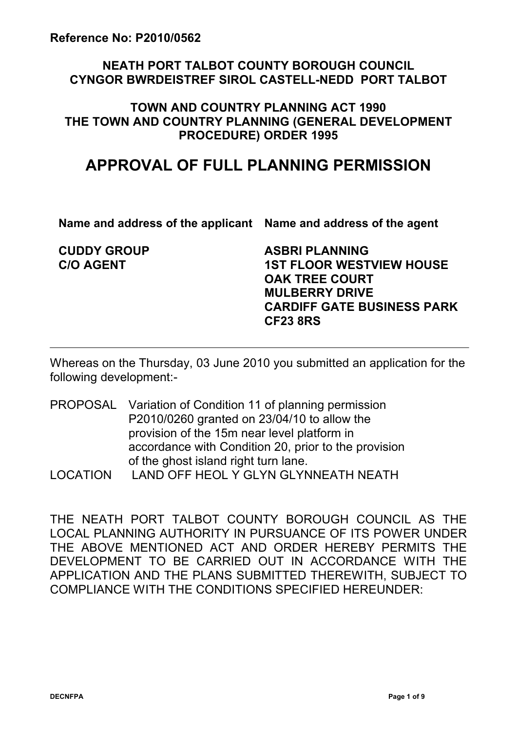### **NEATH PORT TALBOT COUNTY BOROUGH COUNCIL CYNGOR BWRDEISTREF SIROL CASTELL-NEDD PORT TALBOT**

### **TOWN AND COUNTRY PLANNING ACT 1990 THE TOWN AND COUNTRY PLANNING (GENERAL DEVELOPMENT PROCEDURE) ORDER 1995**

# **APPROVAL OF FULL PLANNING PERMISSION**

**Name and address of the applicant Name and address of the agent** 

**CUDDY GROUP C/O AGENT**

**ASBRI PLANNING 1ST FLOOR WESTVIEW HOUSE OAK TREE COURT MULBERRY DRIVE CARDIFF GATE BUSINESS PARK CF23 8RS**

Whereas on the Thursday, 03 June 2010 you submitted an application for the following development:-

- PROPOSAL Variation of Condition 11 of planning permission P2010/0260 granted on 23/04/10 to allow the provision of the 15m near level platform in accordance with Condition 20, prior to the provision of the ghost island right turn lane.
- LOCATION LAND OFF HEOL Y GLYN GLYNNEATH NEATH

THE NEATH PORT TALBOT COUNTY BOROUGH COUNCIL AS THE LOCAL PLANNING AUTHORITY IN PURSUANCE OF ITS POWER UNDER THE ABOVE MENTIONED ACT AND ORDER HEREBY PERMITS THE DEVELOPMENT TO BE CARRIED OUT IN ACCORDANCE WITH THE APPLICATION AND THE PLANS SUBMITTED THEREWITH, SUBJECT TO COMPLIANCE WITH THE CONDITIONS SPECIFIED HEREUNDER: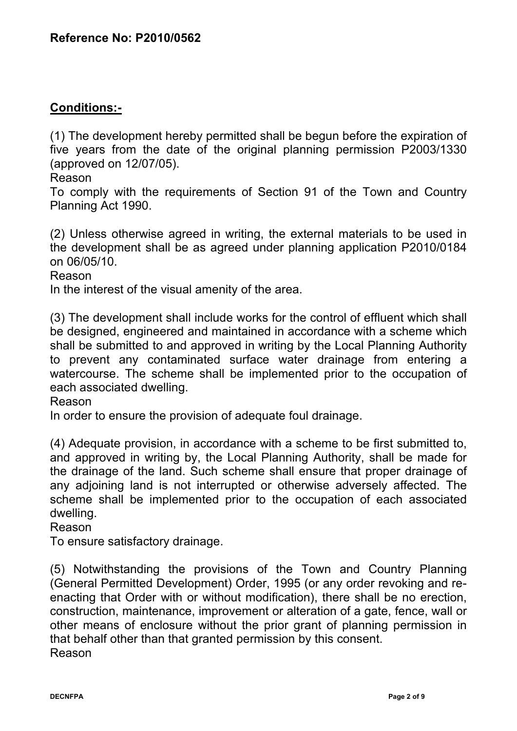# **Conditions:-**

(1) The development hereby permitted shall be begun before the expiration of five years from the date of the original planning permission P2003/1330 (approved on 12/07/05).

Reason

To comply with the requirements of Section 91 of the Town and Country Planning Act 1990.

(2) Unless otherwise agreed in writing, the external materials to be used in the development shall be as agreed under planning application P2010/0184 on 06/05/10.

Reason

In the interest of the visual amenity of the area.

(3) The development shall include works for the control of effluent which shall be designed, engineered and maintained in accordance with a scheme which shall be submitted to and approved in writing by the Local Planning Authority to prevent any contaminated surface water drainage from entering a watercourse. The scheme shall be implemented prior to the occupation of each associated dwelling.

Reason

In order to ensure the provision of adequate foul drainage.

(4) Adequate provision, in accordance with a scheme to be first submitted to, and approved in writing by, the Local Planning Authority, shall be made for the drainage of the land. Such scheme shall ensure that proper drainage of any adjoining land is not interrupted or otherwise adversely affected. The scheme shall be implemented prior to the occupation of each associated dwelling.

Reason

To ensure satisfactory drainage.

(5) Notwithstanding the provisions of the Town and Country Planning (General Permitted Development) Order, 1995 (or any order revoking and reenacting that Order with or without modification), there shall be no erection, construction, maintenance, improvement or alteration of a gate, fence, wall or other means of enclosure without the prior grant of planning permission in that behalf other than that granted permission by this consent. Reason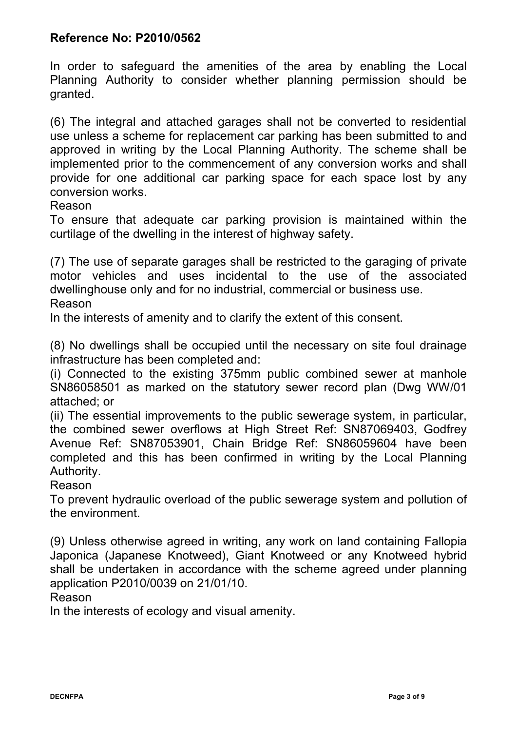In order to safeguard the amenities of the area by enabling the Local Planning Authority to consider whether planning permission should be granted.

(6) The integral and attached garages shall not be converted to residential use unless a scheme for replacement car parking has been submitted to and approved in writing by the Local Planning Authority. The scheme shall be implemented prior to the commencement of any conversion works and shall provide for one additional car parking space for each space lost by any conversion works.

Reason

To ensure that adequate car parking provision is maintained within the curtilage of the dwelling in the interest of highway safety.

(7) The use of separate garages shall be restricted to the garaging of private motor vehicles and uses incidental to the use of the associated dwellinghouse only and for no industrial, commercial or business use. Reason

In the interests of amenity and to clarify the extent of this consent.

(8) No dwellings shall be occupied until the necessary on site foul drainage infrastructure has been completed and:

(i) Connected to the existing 375mm public combined sewer at manhole SN86058501 as marked on the statutory sewer record plan (Dwg WW/01 attached; or

(ii) The essential improvements to the public sewerage system, in particular, the combined sewer overflows at High Street Ref: SN87069403, Godfrey Avenue Ref: SN87053901, Chain Bridge Ref: SN86059604 have been completed and this has been confirmed in writing by the Local Planning Authority.

Reason

To prevent hydraulic overload of the public sewerage system and pollution of the environment.

(9) Unless otherwise agreed in writing, any work on land containing Fallopia Japonica (Japanese Knotweed), Giant Knotweed or any Knotweed hybrid shall be undertaken in accordance with the scheme agreed under planning application P2010/0039 on 21/01/10.

Reason

In the interests of ecology and visual amenity.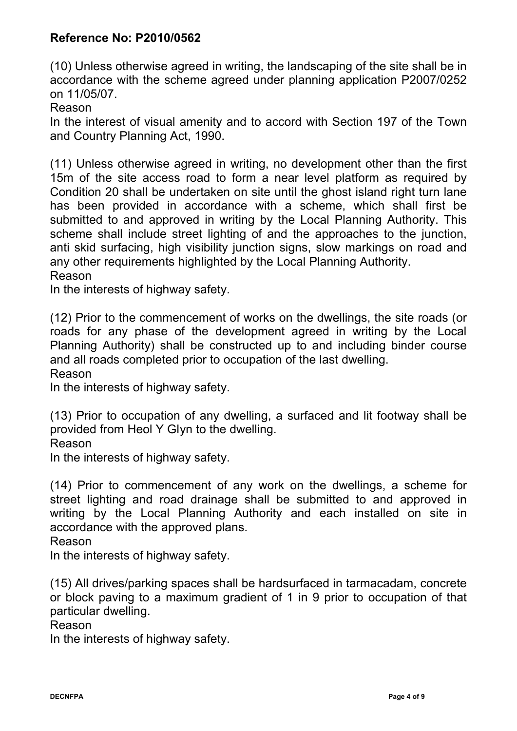(10) Unless otherwise agreed in writing, the landscaping of the site shall be in accordance with the scheme agreed under planning application P2007/0252 on 11/05/07.

Reason

In the interest of visual amenity and to accord with Section 197 of the Town and Country Planning Act, 1990.

(11) Unless otherwise agreed in writing, no development other than the first 15m of the site access road to form a near level platform as required by Condition 20 shall be undertaken on site until the ghost island right turn lane has been provided in accordance with a scheme, which shall first be submitted to and approved in writing by the Local Planning Authority. This scheme shall include street lighting of and the approaches to the junction, anti skid surfacing, high visibility junction signs, slow markings on road and any other requirements highlighted by the Local Planning Authority. Reason

In the interests of highway safety.

(12) Prior to the commencement of works on the dwellings, the site roads (or roads for any phase of the development agreed in writing by the Local Planning Authority) shall be constructed up to and including binder course and all roads completed prior to occupation of the last dwelling.

Reason

In the interests of highway safety.

(13) Prior to occupation of any dwelling, a surfaced and lit footway shall be provided from Heol Y Glyn to the dwelling.

Reason

In the interests of highway safety.

(14) Prior to commencement of any work on the dwellings, a scheme for street lighting and road drainage shall be submitted to and approved in writing by the Local Planning Authority and each installed on site in accordance with the approved plans.

Reason

In the interests of highway safety.

(15) All drives/parking spaces shall be hardsurfaced in tarmacadam, concrete or block paving to a maximum gradient of 1 in 9 prior to occupation of that particular dwelling.

Reason

In the interests of highway safety.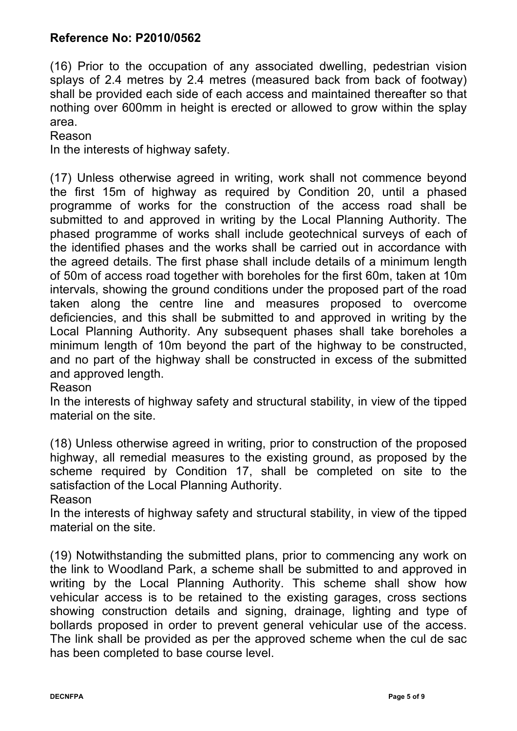(16) Prior to the occupation of any associated dwelling, pedestrian vision splays of 2.4 metres by 2.4 metres (measured back from back of footway) shall be provided each side of each access and maintained thereafter so that nothing over 600mm in height is erected or allowed to grow within the splay area.

Reason

In the interests of highway safety.

(17) Unless otherwise agreed in writing, work shall not commence beyond the first 15m of highway as required by Condition 20, until a phased programme of works for the construction of the access road shall be submitted to and approved in writing by the Local Planning Authority. The phased programme of works shall include geotechnical surveys of each of the identified phases and the works shall be carried out in accordance with the agreed details. The first phase shall include details of a minimum length of 50m of access road together with boreholes for the first 60m, taken at 10m intervals, showing the ground conditions under the proposed part of the road taken along the centre line and measures proposed to overcome deficiencies, and this shall be submitted to and approved in writing by the Local Planning Authority. Any subsequent phases shall take boreholes a minimum length of 10m beyond the part of the highway to be constructed, and no part of the highway shall be constructed in excess of the submitted and approved length.

#### Reason

In the interests of highway safety and structural stability, in view of the tipped material on the site.

(18) Unless otherwise agreed in writing, prior to construction of the proposed highway, all remedial measures to the existing ground, as proposed by the scheme required by Condition 17, shall be completed on site to the satisfaction of the Local Planning Authority.

Reason

In the interests of highway safety and structural stability, in view of the tipped material on the site.

(19) Notwithstanding the submitted plans, prior to commencing any work on the link to Woodland Park, a scheme shall be submitted to and approved in writing by the Local Planning Authority. This scheme shall show how vehicular access is to be retained to the existing garages, cross sections showing construction details and signing, drainage, lighting and type of bollards proposed in order to prevent general vehicular use of the access. The link shall be provided as per the approved scheme when the cul de sac has been completed to base course level.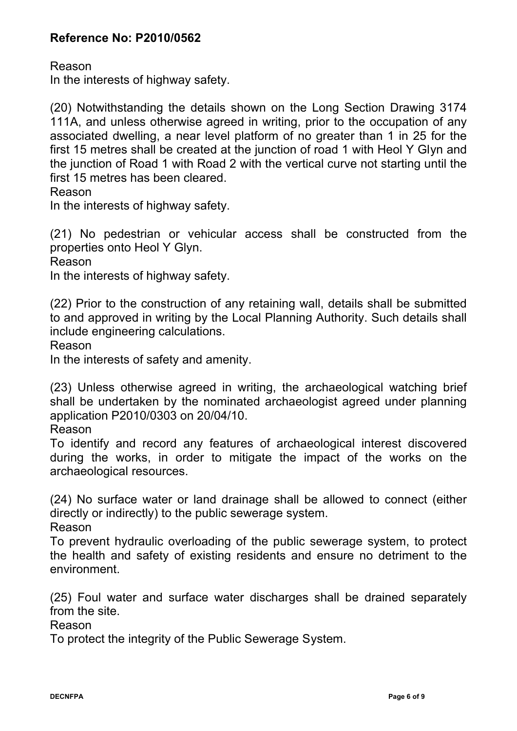Reason

In the interests of highway safety.

(20) Notwithstanding the details shown on the Long Section Drawing 3174 111A, and unless otherwise agreed in writing, prior to the occupation of any associated dwelling, a near level platform of no greater than 1 in 25 for the first 15 metres shall be created at the junction of road 1 with Heol Y Glyn and the junction of Road 1 with Road 2 with the vertical curve not starting until the first 15 metres has been cleared.

Reason

In the interests of highway safety.

(21) No pedestrian or vehicular access shall be constructed from the properties onto Heol Y Glyn.

Reason

In the interests of highway safety.

(22) Prior to the construction of any retaining wall, details shall be submitted to and approved in writing by the Local Planning Authority. Such details shall include engineering calculations.

Reason

In the interests of safety and amenity.

(23) Unless otherwise agreed in writing, the archaeological watching brief shall be undertaken by the nominated archaeologist agreed under planning application P2010/0303 on 20/04/10.

Reason

To identify and record any features of archaeological interest discovered during the works, in order to mitigate the impact of the works on the archaeological resources.

(24) No surface water or land drainage shall be allowed to connect (either directly or indirectly) to the public sewerage system.

Reason

To prevent hydraulic overloading of the public sewerage system, to protect the health and safety of existing residents and ensure no detriment to the environment.

(25) Foul water and surface water discharges shall be drained separately from the site.

Reason

To protect the integrity of the Public Sewerage System.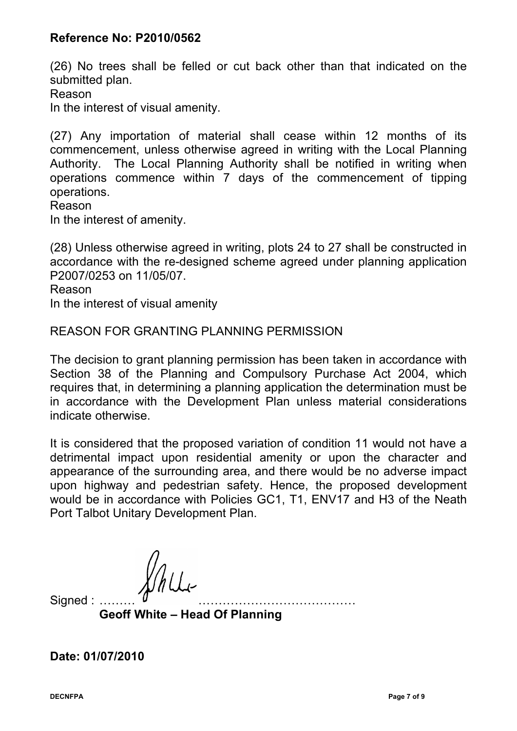(26) No trees shall be felled or cut back other than that indicated on the submitted plan.

Reason

In the interest of visual amenity.

(27) Any importation of material shall cease within 12 months of its commencement, unless otherwise agreed in writing with the Local Planning Authority. The Local Planning Authority shall be notified in writing when operations commence within 7 days of the commencement of tipping operations.

Reason

In the interest of amenity.

(28) Unless otherwise agreed in writing, plots 24 to 27 shall be constructed in accordance with the re-designed scheme agreed under planning application P2007/0253 on 11/05/07.

Reason

In the interest of visual amenity

### REASON FOR GRANTING PLANNING PERMISSION

The decision to grant planning permission has been taken in accordance with Section 38 of the Planning and Compulsory Purchase Act 2004, which requires that, in determining a planning application the determination must be in accordance with the Development Plan unless material considerations indicate otherwise.

It is considered that the proposed variation of condition 11 would not have a detrimental impact upon residential amenity or upon the character and appearance of the surrounding area, and there would be no adverse impact upon highway and pedestrian safety. Hence, the proposed development would be in accordance with Policies GC1, T1, ENV17 and H3 of the Neath Port Talbot Unitary Development Plan.

Signed :

**Geoff White – Head Of Planning**

**Date: 01/07/2010**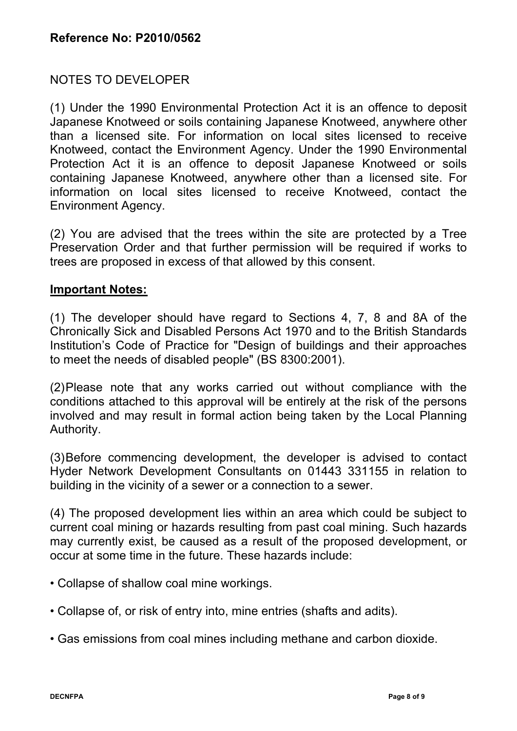# NOTES TO DEVELOPER

(1) Under the 1990 Environmental Protection Act it is an offence to deposit Japanese Knotweed or soils containing Japanese Knotweed, anywhere other than a licensed site. For information on local sites licensed to receive Knotweed, contact the Environment Agency. Under the 1990 Environmental Protection Act it is an offence to deposit Japanese Knotweed or soils containing Japanese Knotweed, anywhere other than a licensed site. For information on local sites licensed to receive Knotweed, contact the Environment Agency.

(2) You are advised that the trees within the site are protected by a Tree Preservation Order and that further permission will be required if works to trees are proposed in excess of that allowed by this consent.

### **Important Notes:**

(1) The developer should have regard to Sections 4, 7, 8 and 8A of the Chronically Sick and Disabled Persons Act 1970 and to the British Standards Institution's Code of Practice for "Design of buildings and their approaches to meet the needs of disabled people" (BS 8300:2001).

(2)Please note that any works carried out without compliance with the conditions attached to this approval will be entirely at the risk of the persons involved and may result in formal action being taken by the Local Planning Authority.

(3)Before commencing development, the developer is advised to contact Hyder Network Development Consultants on 01443 331155 in relation to building in the vicinity of a sewer or a connection to a sewer.

(4) The proposed development lies within an area which could be subject to current coal mining or hazards resulting from past coal mining. Such hazards may currently exist, be caused as a result of the proposed development, or occur at some time in the future. These hazards include:

- Collapse of shallow coal mine workings.
- Collapse of, or risk of entry into, mine entries (shafts and adits).
- Gas emissions from coal mines including methane and carbon dioxide.